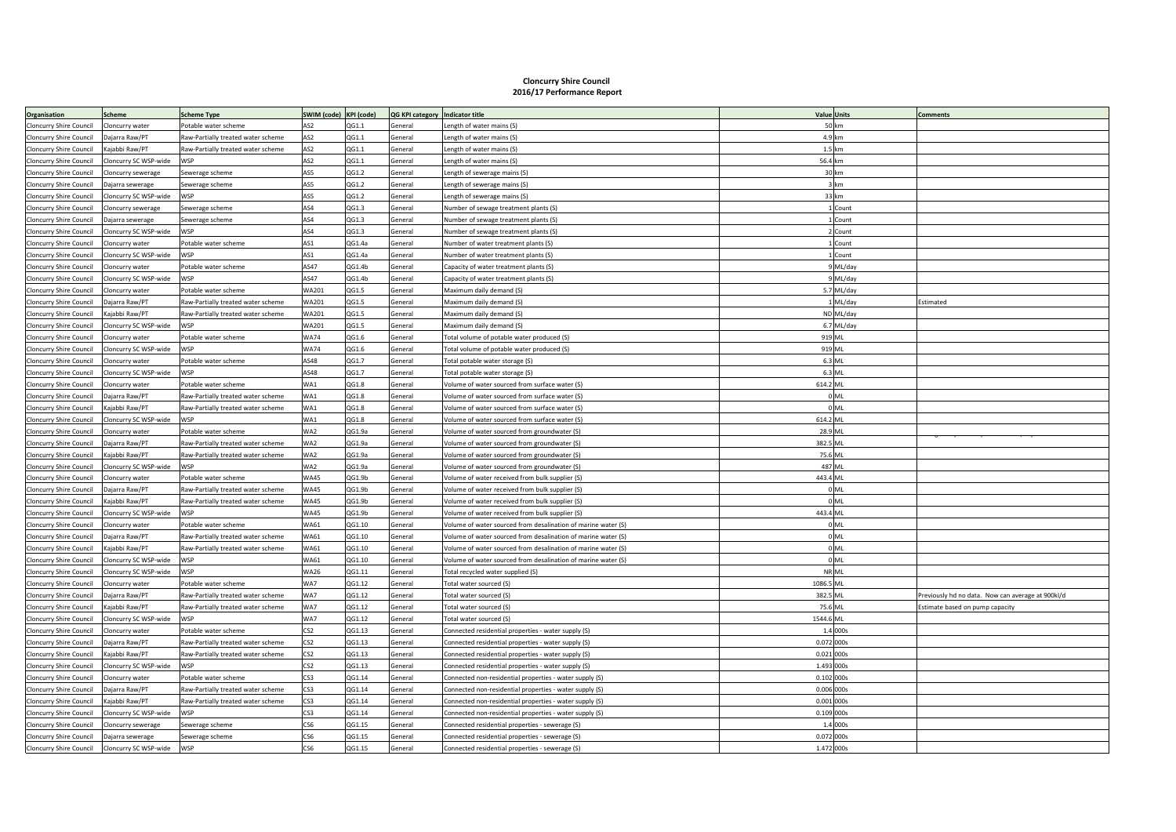## **Cloncurry Shire Council 2016/17 Performance Report**

| Organisation                   | <b>Scheme</b>         | <b>Scheme Type</b>                 | SWIM (code) KPI (code) |        | QG KPI category   Indicator title |                                                               |            | <b>Value</b> Units | <b>Comments</b>                                   |
|--------------------------------|-----------------------|------------------------------------|------------------------|--------|-----------------------------------|---------------------------------------------------------------|------------|--------------------|---------------------------------------------------|
| Cloncurry Shire Council        | Cloncurry water       | Potable water scheme               | AS <sub>2</sub>        | QG1.1  | General                           | ength of water mains (S)                                      |            | 50 km              |                                                   |
| Cloncurry Shire Council        | Dajarra Raw/PT        | Raw-Partially treated water scheme | AS <sub>2</sub>        | QG1.1  | General                           | ength of water mains (S)                                      |            | 4.9 km             |                                                   |
| Cloncurry Shire Council        | Kajabbi Raw/PT        | Raw-Partially treated water scheme | AS <sub>2</sub>        | QG1.1  | General                           | ength of water mains (S)                                      |            | $1.5$ km           |                                                   |
| Cloncurry Shire Council        | Cloncurry SC WSP-wide | <b>WSP</b>                         | AS <sub>2</sub>        | QG1.1  | General                           | ength of water mains (S)                                      | 56.4 km    |                    |                                                   |
| Cloncurry Shire Council        | Cloncurry sewerage    | Sewerage scheme                    | AS5                    | QG1.2  | General                           | ength of sewerage mains (S)                                   |            | 30 km              |                                                   |
| Cloncurry Shire Council        | Dajarra sewerage      | Sewerage scheme                    | AS5                    | QG1.2  | General                           | Length of sewerage mains (S)                                  |            | 3 km               |                                                   |
| Cloncurry Shire Council        | Cloncurry SC WSP-wide | <b>WSP</b>                         | AS5                    | QG1.2  | General                           | ength of sewerage mains (S)                                   |            | 33 km              |                                                   |
| Cloncurry Shire Council        | Cloncurry sewerage    | Sewerage scheme                    | AS4                    | QG1.3  | General                           | Number of sewage treatment plants (S)                         |            | 1 Count            |                                                   |
| Cloncurry Shire Council        | Dajarra sewerage      | Sewerage scheme                    | AS4                    | QG1.3  | General                           | Number of sewage treatment plants (S)                         |            | 1 Count            |                                                   |
| Cloncurry Shire Council        | Cloncurry SC WSP-wide | <b>WSP</b>                         | AS4                    | QG1.3  | General                           | Number of sewage treatment plants (S)                         |            | 2 Count            |                                                   |
| Cloncurry Shire Council        | loncurry water        | Potable water scheme               | AS1                    | QG1.4a | General                           | Number of water treatment plants (S)                          |            | 1 Count            |                                                   |
| Cloncurry Shire Council        | Cloncurry SC WSP-wide | <b>WSP</b>                         | AS1                    | QG1.4a | General                           | Number of water treatment plants (S)                          |            | 1 Count            |                                                   |
| Cloncurry Shire Council        | Cloncurry water       | Potable water scheme               | AS47                   | QG1.4b | General                           | Capacity of water treatment plants (S)                        |            | 9 ML/day           |                                                   |
| Cloncurry Shire Council        | Cloncurry SC WSP-wide | <b>WSP</b>                         | AS47                   | QG1.4b | General                           | Capacity of water treatment plants (S)                        |            | 9 ML/day           |                                                   |
| Cloncurry Shire Council        | Cloncurry water       | Potable water scheme               | WA201                  | QG1.5  | General                           | Maximum daily demand (S)                                      |            | 5.7 ML/day         |                                                   |
| Cloncurry Shire Council        | Dajarra Raw/PT        | Raw-Partially treated water scheme | WA201                  | QG1.5  | General                           | Maximum daily demand (S)                                      |            | 1 ML/day           | Estimated                                         |
| Cloncurry Shire Council        | Kajabbi Raw/PT        | Raw-Partially treated water scheme | WA201                  | QG1.5  | General                           | Maximum daily demand (S)                                      |            | ND ML/day          |                                                   |
| Cloncurry Shire Council        | Cloncurry SC WSP-wide | <b>WSP</b>                         | WA201                  | QG1.5  | General                           | Maximum daily demand (S)                                      |            | 6.7 ML/day         |                                                   |
| Cloncurry Shire Council        | Cloncurry water       | Potable water scheme               | <b>WA74</b>            | QG1.6  | General                           | Fotal volume of potable water produced (S)                    | 919 ML     |                    |                                                   |
| Cloncurry Shire Council        | Cloncurry SC WSP-wide | WSP                                | <b>WA74</b>            | QG1.6  | General                           | otal volume of potable water produced (S)                     | 919 ML     |                    |                                                   |
| Cloncurry Shire Council        | Cloncurry water       | Potable water scheme               | AS48                   | QG1.7  | General                           | 'otal potable water storage (S)                               |            | $6.3$ ML           |                                                   |
| Cloncurry Shire Council        | Cloncurry SC WSP-wide | <b>WSP</b>                         | AS48                   | QG1.7  | General                           | 'otal potable water storage (S)                               |            | 6.3 MI             |                                                   |
| Cloncurry Shire Council        | Cloncurry water       | Potable water scheme               | WA1                    | QG1.8  | General                           | 'olume of water sourced from surface water (S)                | 614.2 ML   |                    |                                                   |
| Cloncurry Shire Council        | Dajarra Raw/PT        | Raw-Partially treated water scheme | WA1                    | QG1.8  | General                           | Volume of water sourced from surface water (S)                |            | 0 <sub>ML</sub>    |                                                   |
| Cloncurry Shire Council        | Kajabbi Raw/PT        | Raw-Partially treated water scheme | WA1                    | QG1.8  | General                           | /olume of water sourced from surface water (S)                |            | 0 <sub>ML</sub>    |                                                   |
| Cloncurry Shire Council        | Cloncurry SC WSP-wide | <b>WSP</b>                         | WA1                    | QG1.8  | General                           | Volume of water sourced from surface water (S)                | 614.2 ML   |                    |                                                   |
| Cloncurry Shire Council        | Cloncurry water       | Potable water scheme               | WA2                    | QG1.9a | General                           | Volume of water sourced from groundwater (S)                  | 28.9 ML    |                    |                                                   |
| Cloncurry Shire Council        | Dajarra Raw/PT        | Raw-Partially treated water scheme | WA2                    | QG1.9a | General                           | Volume of water sourced from groundwater (S)                  | 382.5 ML   |                    |                                                   |
| Cloncurry Shire Council        | Kajabbi Raw/PT        | Raw-Partially treated water scheme | WA2                    | QG1.9a | General                           | /olume of water sourced from groundwater (S)                  | 75.6 ML    |                    |                                                   |
| Cloncurry Shire Council        | Cloncurry SC WSP-wide | <b>WSP</b>                         | WA2                    | QG1.9a | General                           | Volume of water sourced from groundwater (S)                  | 487 ML     |                    |                                                   |
| Cloncurry Shire Council        | Cloncurry water       | Potable water scheme               | <b>WA45</b>            | QG1.9b | General                           | /olume of water received from bulk supplier (S)               | 443.4 ML   |                    |                                                   |
| Cloncurry Shire Council        | Dajarra Raw/PT        | Raw-Partially treated water scheme | <b>WA45</b>            | QG1.9b | General                           | /olume of water received from bulk supplier (S)               |            | 0 <sub>ML</sub>    |                                                   |
| Cloncurry Shire Council        | Kajabbi Raw/PT        | Raw-Partially treated water scheme | <b>WA45</b>            | QG1.9b | General                           | Volume of water received from bulk supplier (S)               |            | 0 <sub>ML</sub>    |                                                   |
| Cloncurry Shire Council        | Cloncurry SC WSP-wide | <b>WSP</b>                         | <b>WA45</b>            | QG1.9b | General                           | Volume of water received from bulk supplier (S)               | 443.4 ML   |                    |                                                   |
| Cloncurry Shire Council        | Cloncurry water       | Potable water scheme               | <b>WA61</b>            | QG1.10 | General                           | Volume of water sourced from desalination of marine water (S) |            | 0 <sub>Ml</sub>    |                                                   |
| Cloncurry Shire Council        | Dajarra Raw/PT        | Raw-Partially treated water scheme | WA61                   | QG1.10 | General                           | Volume of water sourced from desalination of marine water (S) |            | 0 <sub>ML</sub>    |                                                   |
| Cloncurry Shire Council        | Kajabbi Raw/PT        | Raw-Partially treated water scheme | <b>WA61</b>            | QG1.10 | General                           | Volume of water sourced from desalination of marine water (S) |            | 0 <sub>ML</sub>    |                                                   |
| Cloncurry Shire Council        | Cloncurry SC WSP-wide | <b>WSP</b>                         | <b>WA61</b>            | QG1.10 | General                           | Volume of water sourced from desalination of marine water (S) |            | 0 <sub>ML</sub>    |                                                   |
| Cloncurry Shire Council        | Cloncurry SC WSP-wide | <b>WSP</b>                         | <b>WA26</b>            | QG1.11 | General                           | otal recycled water supplied (S)                              |            | NR ML              |                                                   |
| Cloncurry Shire Council        | Cloncurry water       | Potable water scheme               | WA7                    | QG1.12 | General                           | Total water sourced (S)                                       | 1086.5 ML  |                    |                                                   |
| Cloncurry Shire Council        | Dajarra Raw/PT        | Raw-Partially treated water scheme | WA7                    | QG1.12 | General                           | otal water sourced (S)                                        | 382.5 ML   |                    | Previously hd no data. Now can average at 900kl/d |
| Cloncurry Shire Council        | Kajabbi Raw/PT        | Raw-Partially treated water scheme | WA7                    | QG1.12 | General                           | Fotal water sourced (S)                                       | 75.6 ML    |                    | Estimate based on pump capacity                   |
| Cloncurry Shire Council        | Cloncurry SC WSP-wide | <b>WSP</b>                         | WA7                    | QG1.12 | General                           | otal water sourced (S)                                        | 1544.6 ML  |                    |                                                   |
| Cloncurry Shire Council        | Cloncurry water       | Potable water scheme               | CS <sub>2</sub>        | QG1.13 | General                           | Connected residential properties - water supply (S)           |            | 1.4 000s           |                                                   |
| Cloncurry Shire Council        | Dajarra Raw/PT        | Raw-Partially treated water scheme | CS <sub>2</sub>        | QG1.13 | General                           | Connected residential properties - water supply (S)           | 0.072 000s |                    |                                                   |
| Cloncurry Shire Council        | Kajabbi Raw/PT        | Raw-Partially treated water scheme | CS <sub>2</sub>        | QG1.13 | General                           | Connected residential properties - water supply (S)           | 0.021 000s |                    |                                                   |
| Cloncurry Shire Council        | Cloncurry SC WSP-wide | <b>WSP</b>                         | CS <sub>2</sub>        | QG1.13 | General                           | Connected residential properties - water supply (S)           | 1.493 000s |                    |                                                   |
| Cloncurry Shire Council        | Cloncurry water       | Potable water scheme               | CS3                    | QG1.14 | General                           | Connected non-residential properties - water supply (S)       | 0.102 000s |                    |                                                   |
| Cloncurry Shire Council        | Dajarra Raw/PT        | Raw-Partially treated water scheme | CS <sub>3</sub>        | QG1.14 | General                           | Connected non-residential properties - water supply (S)       | 0.006 000s |                    |                                                   |
| Cloncurry Shire Council        | Kajabbi Raw/PT        | Raw-Partially treated water scheme | CS <sub>3</sub>        | QG1.14 | General                           | Connected non-residential properties - water supply (S)       | 0.001 000s |                    |                                                   |
| Cloncurry Shire Council        | Cloncurry SC WSP-wide | <b>WSP</b>                         | CS3                    | QG1.14 | General                           | Connected non-residential properties - water supply (S)       | 0.109 000s |                    |                                                   |
| Cloncurry Shire Council        | Cloncurry sewerage    | Sewerage scheme                    | CS <sub>6</sub>        | QG1.15 | General                           | Connected residential properties - sewerage (S)               |            | 1.4 000s           |                                                   |
| <b>Cloncurry Shire Council</b> | Dajarra sewerage      | Sewerage scheme                    | CS <sub>6</sub>        | QG1.15 | General                           | Connected residential properties - sewerage (S)               | 0.072 000s |                    |                                                   |
| <b>Cloncurry Shire Council</b> | Cloncurry SC WSP-wide | <b>WSP</b>                         | CS <sub>6</sub>        | QG1.15 | General                           | Connected residential properties - sewerage (S)               | 1.472 000s |                    |                                                   |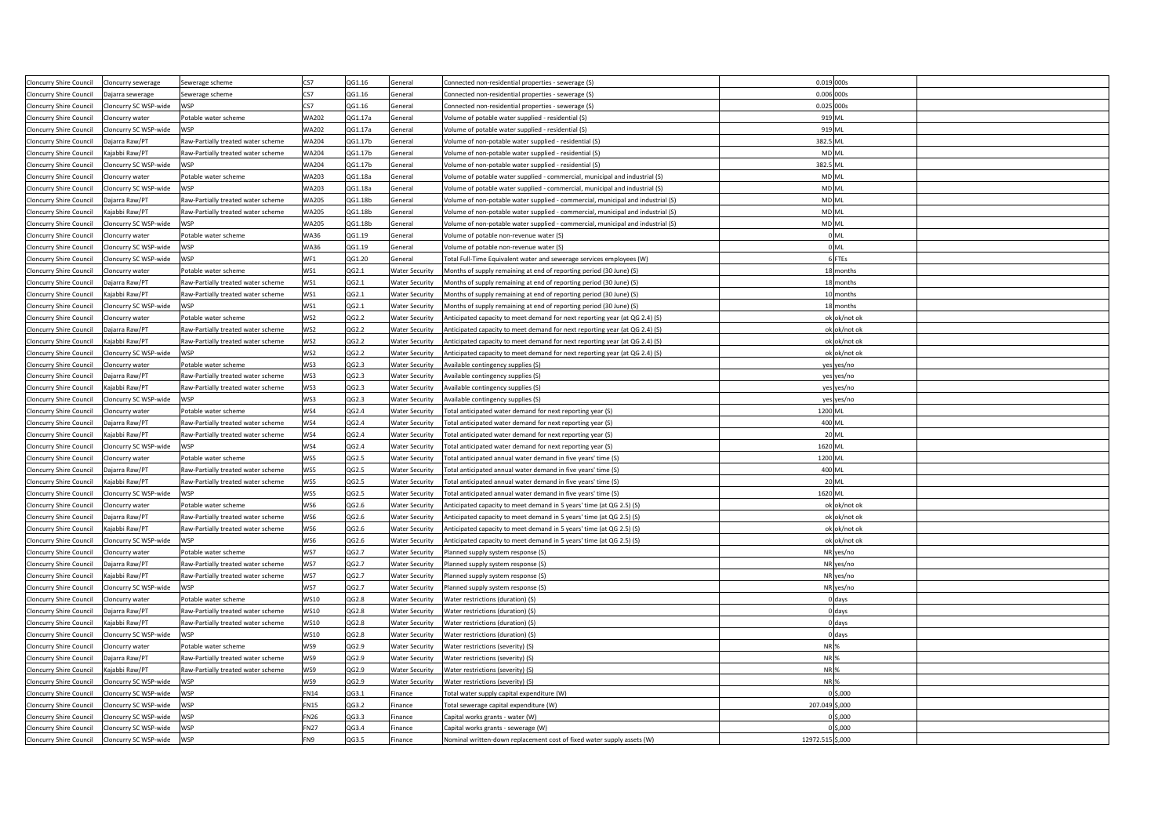| Cloncurry Shire Council        | Cloncurry sewerage    | Sewerage scheme                    | CS7          | QG1.16  | General               | Connected non-residential properties - sewerage (S)                             | 0.019 000s       |
|--------------------------------|-----------------------|------------------------------------|--------------|---------|-----------------------|---------------------------------------------------------------------------------|------------------|
| Cloncurry Shire Council        | Dajarra sewerage      | Sewerage scheme                    | CS7          | QG1.16  | General               | Connected non-residential properties - sewerage (S)                             | 0.006 000s       |
| Cloncurry Shire Council        | Cloncurry SC WSP-wide | <b>WSP</b>                         | CS7          | QG1.16  | General               | Connected non-residential properties - sewerage (S)                             | 0.025 000s       |
| Cloncurry Shire Council        | Cloncurry water       | Potable water scheme               | WA202        | QG1.17a | General               | Volume of potable water supplied - residential (S)                              | 919 ML           |
| Cloncurry Shire Council        | Cloncurry SC WSP-wide | <b>WSP</b>                         | WA202        | QG1.17a | General               | Volume of potable water supplied - residential (S)                              | 919 ML           |
| <b>Cloncurry Shire Council</b> | Dajarra Raw/PT        |                                    | <b>WA204</b> | QG1.17b | General               |                                                                                 | 382.5 ML         |
|                                |                       | Raw-Partially treated water scheme |              |         |                       | Volume of non-potable water supplied - residential (S)                          |                  |
| Cloncurry Shire Council        | Kajabbi Raw/PT        | Raw-Partially treated water scheme | <b>WA204</b> | QG1.17b | General               | Volume of non-potable water supplied - residential (S)                          | MD ML            |
| Cloncurry Shire Council        | Cloncurry SC WSP-wide | <b>WSP</b>                         | <b>WA204</b> | QG1.17b | General               | Volume of non-potable water supplied - residential (S)                          | 382.5 ML         |
| Cloncurry Shire Council        | Cloncurry water       | Potable water scheme               | WA203        | QG1.18a | General               | Volume of potable water supplied - commercial, municipal and industrial (S)     | MD ML            |
| Cloncurry Shire Council        | Cloncurry SC WSP-wide | <b>WSP</b>                         | WA203        | QG1.18a | General               | Volume of potable water supplied - commercial, municipal and industrial (S)     | <b>MD ML</b>     |
| Cloncurry Shire Council        | Dajarra Raw/PT        | Raw-Partially treated water scheme | <b>WA205</b> | QG1.18b | General               | Volume of non-potable water supplied - commercial, municipal and industrial (S) | MD ML            |
| Cloncurry Shire Council        | Kajabbi Raw/PT        | Raw-Partially treated water scheme | <b>WA205</b> | QG1.18b | General               | Volume of non-potable water supplied - commercial, municipal and industrial (S) | MD ML            |
| Cloncurry Shire Council        | Cloncurry SC WSP-wide | <b>WSP</b>                         | <b>WA205</b> | QG1.18b | General               | Volume of non-potable water supplied - commercial, municipal and industrial (S) | MD ML            |
| Cloncurry Shire Council        | Cloncurry water       | Potable water scheme               | <b>WA36</b>  | QG1.19  | General               | Volume of potable non-revenue water (S)                                         | 0 <sub>ML</sub>  |
| Cloncurry Shire Council        | Cloncurry SC WSP-wide | <b>WSP</b>                         | <b>WA36</b>  | QG1.19  | General               | Volume of potable non-revenue water (S)                                         | OML              |
| Cloncurry Shire Council        | Cloncurry SC WSP-wide | <b>WSP</b>                         | WF1          | QG1.20  | General               | Total Full-Time Equivalent water and sewerage services employees (W)            | 6 FTEs           |
| Cloncurry Shire Council        | Cloncurry water       | Potable water scheme               | WS1          | QG2.1   | <b>Water Security</b> | Months of supply remaining at end of reporting period (30 June) (S)             | 18 months        |
| Cloncurry Shire Council        | Dajarra Raw/PT        | Raw-Partially treated water scheme | WS1          | QG2.1   | <b>Water Security</b> | Months of supply remaining at end of reporting period (30 June) (S)             | 18 months        |
| Cloncurry Shire Council        | Kajabbi Raw/PT        | Raw-Partially treated water scheme | WS1          | QG2.1   | <b>Water Security</b> | Months of supply remaining at end of reporting period (30 June) (S)             | 10 months        |
| Cloncurry Shire Council        | Cloncurry SC WSP-wide | <b>WSP</b>                         | WS1          | QG2.1   | <b>Water Security</b> | Months of supply remaining at end of reporting period (30 June) (S)             | 18 months        |
| Cloncurry Shire Council        | Cloncurry water       | Potable water scheme               | WS2          | QG2.2   | <b>Water Security</b> | Anticipated capacity to meet demand for next reporting year (at QG 2.4) (S)     | ok ok/not ok     |
| Cloncurry Shire Council        | Dajarra Raw/PT        | Raw-Partially treated water scheme | WS2          | QG2.2   | <b>Water Security</b> | Anticipated capacity to meet demand for next reporting year (at QG 2.4) (S)     | ok ok/not ok     |
| Cloncurry Shire Council        | Kajabbi Raw/PT        | Raw-Partially treated water scheme | WS2          | QG2.2   | <b>Water Security</b> | Anticipated capacity to meet demand for next reporting year (at QG 2.4) (S)     | ok ok/not ok     |
| Cloncurry Shire Council        | Cloncurry SC WSP-wide | <b>WSP</b>                         | WS2          | QG2.2   | <b>Water Security</b> | Anticipated capacity to meet demand for next reporting year (at QG 2.4) (S)     | ok ok/not ok     |
| Cloncurry Shire Council        | Cloncurry water       | Potable water scheme               | WS3          | QG2.3   | <b>Water Security</b> | vailable contingency supplies (S)                                               | yes yes/no       |
| Cloncurry Shire Council        | Dajarra Raw/PT        | Raw-Partially treated water scheme | WS3          | QG2.3   | <b>Water Security</b> | Available contingency supplies (S)                                              | yes yes/no       |
|                                |                       |                                    |              |         |                       |                                                                                 |                  |
| Cloncurry Shire Council        | Kajabbi Raw/PT        | Raw-Partially treated water scheme | WS3          | QG2.3   | <b>Water Security</b> | Available contingency supplies (S)                                              | yes yes/no       |
| Cloncurry Shire Council        | Cloncurry SC WSP-wide | <b>WSP</b>                         | WS3          | QG2.3   | <b>Water Security</b> | vailable contingency supplies (S)                                               | yes yes/no       |
| Cloncurry Shire Council        | Cloncurry water       | Potable water scheme               | WS4          | QG2.4   | <b>Water Security</b> | Total anticipated water demand for next reporting year (S)                      | 1200 ML          |
| Cloncurry Shire Council        | Dajarra Raw/PT        | Raw-Partially treated water scheme | WS4          | QG2.4   | <b>Water Security</b> | 'otal anticipated water demand for next reporting year (S)                      | 400 ML           |
| Cloncurry Shire Council        | Kajabbi Raw/PT        | Raw-Partially treated water scheme | WS4          | QG2.4   | <b>Water Security</b> | Total anticipated water demand for next reporting year (S)                      | 20 ML            |
| Cloncurry Shire Council        | Cloncurry SC WSP-wide | <b>WSP</b>                         | WS4          | QG2.4   | <b>Water Security</b> | 'otal anticipated water demand for next reporting year (S)                      | 1620 ML          |
| Cloncurry Shire Council        | Cloncurry water       | Potable water scheme               | WS5          | QG2.5   | <b>Water Security</b> | 'otal anticipated annual water demand in five years' time (S)                   | 1200 ML          |
| Cloncurry Shire Council        | Dajarra Raw/PT        | Raw-Partially treated water scheme | WS5          | QG2.5   | <b>Water Security</b> | 'otal anticipated annual water demand in five years' time (S)                   | 400 ML           |
| Cloncurry Shire Council        | Kajabbi Raw/PT        | Raw-Partially treated water scheme | WS5          | QG2.5   | <b>Water Security</b> | Total anticipated annual water demand in five years' time (S)                   | <b>20 ML</b>     |
| Cloncurry Shire Council        | Cloncurry SC WSP-wide | <b>WSP</b>                         | WS5          | QG2.5   | <b>Water Security</b> | Total anticipated annual water demand in five years' time (S)                   | 1620 ML          |
| Cloncurry Shire Council        | Cloncurry water       | Potable water scheme               | WS6          | QG2.6   | <b>Water Security</b> | Anticipated capacity to meet demand in 5 years' time (at QG 2.5) (S)            | ok ok/not ok     |
| Cloncurry Shire Council        | Dajarra Raw/PT        | Raw-Partially treated water scheme | WS6          | QG2.6   | <b>Water Security</b> | Anticipated capacity to meet demand in 5 years' time (at QG 2.5) (S)            | ok ok/not ok     |
| Cloncurry Shire Council        | Kajabbi Raw/PT        | Raw-Partially treated water scheme | WS6          | QG2.6   | <b>Water Security</b> | Anticipated capacity to meet demand in 5 years' time (at QG 2.5) (S)            | ok ok/not ok     |
| Cloncurry Shire Council        | Cloncurry SC WSP-wide | <b>WSP</b>                         | WS6          | QG2.6   | <b>Water Security</b> | Anticipated capacity to meet demand in 5 years' time (at QG 2.5) (S)            | ok ok/not ok     |
| Cloncurry Shire Council        | Cloncurry water       | Potable water scheme               | WS7          | QG2.7   | <b>Water Security</b> | Planned supply system response (S)                                              | NR yes/no        |
| Cloncurry Shire Council        | Dajarra Raw/PT        | Raw-Partially treated water scheme | WS7          | QG2.7   | <b>Water Security</b> | Planned supply system response (S)                                              | NR yes/no        |
| Cloncurry Shire Council        | Kajabbi Raw/PT        | Raw-Partially treated water scheme | WS7          | QG2.7   | <b>Water Security</b> | Planned supply system response (S)                                              | NR yes/no        |
| Cloncurry Shire Council        | Cloncurry SC WSP-wide | <b>WSP</b>                         | WS7          | QG2.7   | <b>Water Security</b> | Planned supply system response (S)                                              | NR yes/no        |
| Cloncurry Shire Council        | Cloncurry water       | Potable water scheme               | <b>WS10</b>  | QG2.8   | <b>Water Security</b> | Water restrictions (duration) (S)                                               | days             |
| Cloncurry Shire Council        | Dajarra Raw/PT        | Raw-Partially treated water scheme | <b>WS10</b>  | QG2.8   | <b>Water Security</b> | Water restrictions (duration) (S)                                               | 0 days           |
| Cloncurry Shire Council        | Kajabbi Raw/PT        | Raw-Partially treated water scheme | <b>WS10</b>  | QG2.8   | <b>Water Security</b> | Water restrictions (duration) (S)                                               | 0 days           |
| Cloncurry Shire Council        | Cloncurry SC WSP-wide | <b>WSP</b>                         | <b>WS10</b>  | QG2.8   | <b>Water Security</b> | Water restrictions (duration) (S)                                               | 0 days           |
|                                |                       |                                    |              |         |                       |                                                                                 |                  |
| Cloncurry Shire Council        | Cloncurry water       | Potable water scheme               | WS9          | QG2.9   | <b>Water Security</b> | Water restrictions (severity) (S)                                               | NR <sub>%</sub>  |
| Cloncurry Shire Council        | Dajarra Raw/PT        | Raw-Partially treated water scheme | WS9          | QG2.9   | <b>Water Security</b> | Water restrictions (severity) (S)                                               | <b>NR%</b>       |
| Cloncurry Shire Council        | Kajabbi Raw/PT        | Raw-Partially treated water scheme | WS9          | QG2.9   | <b>Water Security</b> | Water restrictions (severity) (S)                                               | NR <sub>%</sub>  |
| Cloncurry Shire Council        | Cloncurry SC WSP-wide | <b>WSP</b>                         | WS9          | QG2.9   | <b>Water Security</b> | Water restrictions (severity) (S)                                               | <b>NR %</b>      |
| Cloncurry Shire Council        | Cloncurry SC WSP-wide | <b>IWSP</b>                        | <b>FN14</b>  | QG3.1   | Finance               | Total water supply capital expenditure (W)                                      | $0$ \$,000       |
| Cloncurry Shire Council        | Cloncurry SC WSP-wide | WSP                                | <b>FN15</b>  | QG3.2   | Finance               | Total sewerage capital expenditure (W)                                          | 207.049 \$,000   |
| Cloncurry Shire Council        | Cloncurry SC WSP-wide | <b>WSP</b>                         | <b>FN26</b>  | QG3.3   | Finance               | Capital works grants - water (W)                                                | 5,000            |
| Cloncurry Shire Council        | Cloncurry SC WSP-wide | <b>WSP</b>                         | FN27         | QG3.4   | inance                | Capital works grants - sewerage (W)                                             | $0$ \$.000       |
| <b>Cloncurry Shire Council</b> | Cloncurry SC WSP-wide | WSP                                | FN9          | QG3.5   | Finance               | Nominal written-down replacement cost of fixed water supply assets (W)          | 12972.515 \$,000 |